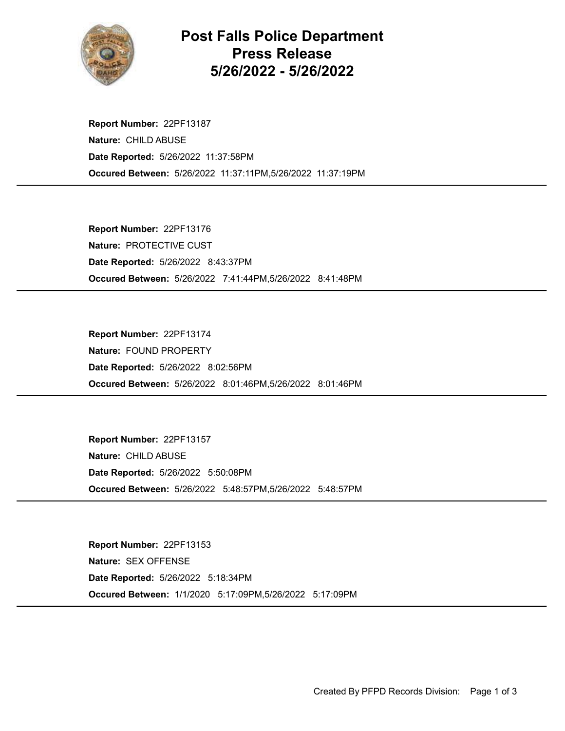

## Post Falls Police Department Press Release 5/26/2022 - 5/26/2022

Occured Between: 5/26/2022 11:37:11PM,5/26/2022 11:37:19PM Report Number: 22PF13187 Nature: CHILD ABUSE Date Reported: 5/26/2022 11:37:58PM

Occured Between: 5/26/2022 7:41:44PM,5/26/2022 8:41:48PM Report Number: 22PF13176 Nature: PROTECTIVE CUST Date Reported: 5/26/2022 8:43:37PM

Occured Between: 5/26/2022 8:01:46PM,5/26/2022 8:01:46PM Report Number: 22PF13174 Nature: FOUND PROPERTY Date Reported: 5/26/2022 8:02:56PM

Occured Between: 5/26/2022 5:48:57PM,5/26/2022 5:48:57PM Report Number: 22PF13157 Nature: CHILD ABUSE Date Reported: 5/26/2022 5:50:08PM

Occured Between: 1/1/2020 5:17:09PM,5/26/2022 5:17:09PM Report Number: 22PF13153 Nature: SEX OFFENSE Date Reported: 5/26/2022 5:18:34PM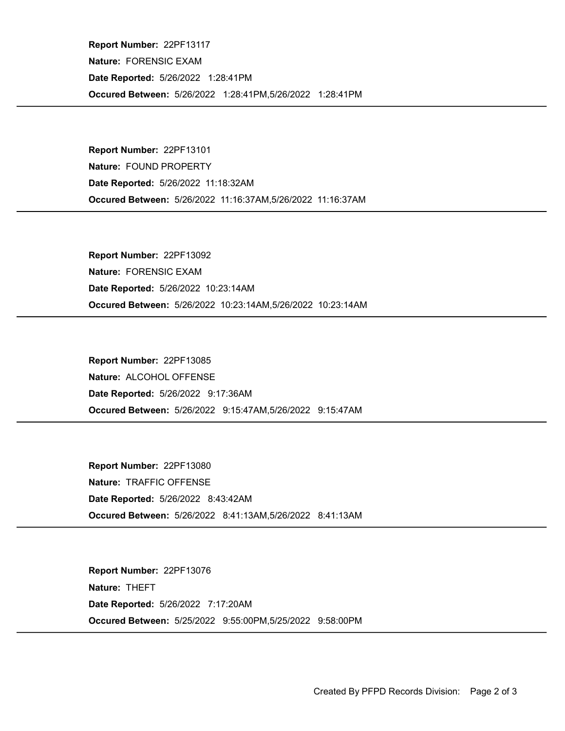Occured Between: 5/26/2022 1:28:41PM,5/26/2022 1:28:41PM Report Number: 22PF13117 Nature: FORENSIC EXAM Date Reported: 5/26/2022 1:28:41PM

Occured Between: 5/26/2022 11:16:37AM,5/26/2022 11:16:37AM Report Number: 22PF13101 Nature: FOUND PROPERTY Date Reported: 5/26/2022 11:18:32AM

Occured Between: 5/26/2022 10:23:14AM,5/26/2022 10:23:14AM Report Number: 22PF13092 Nature: FORENSIC EXAM Date Reported: 5/26/2022 10:23:14AM

Occured Between: 5/26/2022 9:15:47AM,5/26/2022 9:15:47AM Report Number: 22PF13085 Nature: ALCOHOL OFFENSE Date Reported: 5/26/2022 9:17:36AM

Occured Between: 5/26/2022 8:41:13AM,5/26/2022 8:41:13AM Report Number: 22PF13080 Nature: TRAFFIC OFFENSE Date Reported: 5/26/2022 8:43:42AM

Occured Between: 5/25/2022 9:55:00PM,5/25/2022 9:58:00PM Report Number: 22PF13076 Nature: THEFT Date Reported: 5/26/2022 7:17:20AM